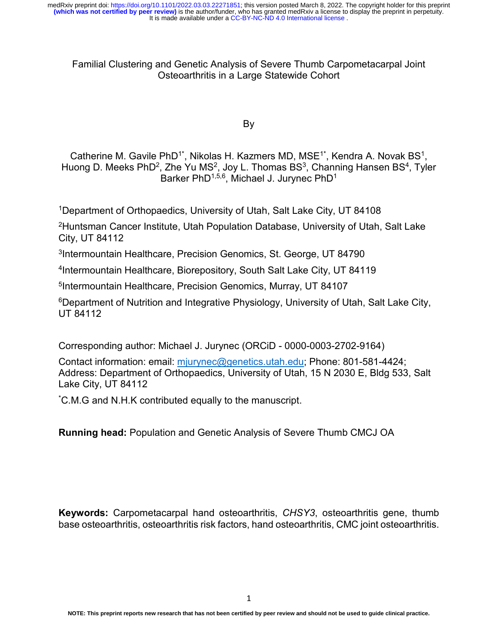# Familial Clustering and Genetic Analysis of Severe Thumb Carpometacarpal Joint Osteoarthritis in a Large Statewide Cohort

By

Catherine M. Gavile PhD<sup>1\*</sup>, Nikolas H. Kazmers MD, MSE<sup>1\*</sup>, Kendra A. Novak BS<sup>1</sup>, Huong D. Meeks PhD<sup>2</sup>, Zhe Yu MS<sup>2</sup>, Joy L. Thomas BS<sup>3</sup>, Channing Hansen BS<sup>4</sup>, Tyler Barker PhD<sup>1,5,6</sup>, Michael J. Jurynec PhD<sup>1</sup>

1Department of Orthopaedics, University of Utah, Salt Lake City, UT 84108

2Huntsman Cancer Institute, Utah Population Database, University of Utah, Salt Lake City, UT 84112

3Intermountain Healthcare, Precision Genomics, St. George, UT 84790

4Intermountain Healthcare, Biorepository, South Salt Lake City, UT 84119

5Intermountain Healthcare, Precision Genomics, Murray, UT 84107

6Department of Nutrition and Integrative Physiology, University of Utah, Salt Lake City, UT 84112

Corresponding author: Michael J. Jurynec (ORCiD - 0000-0003-2702-9164)

Contact information: email: [mjurynec@genetics.utah.edu;](mailto:mjurynec@genetics.utah.edu) Phone: 801-581-4424; Address: Department of Orthopaedics, University of Utah, 15 N 2030 E, Bldg 533, Salt Lake City, UT 84112

\* C.M.G and N.H.K contributed equally to the manuscript.

**Running head:** Population and Genetic Analysis of Severe Thumb CMCJ OA

**Keywords:** Carpometacarpal hand osteoarthritis, *CHSY3*, osteoarthritis gene, thumb base osteoarthritis, osteoarthritis risk factors, hand osteoarthritis, CMC joint osteoarthritis.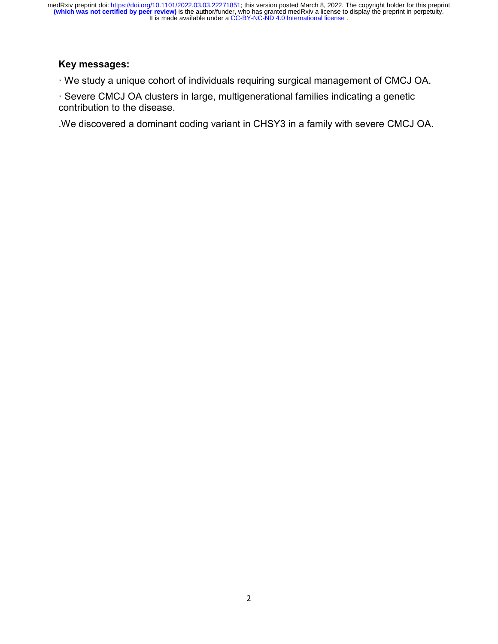# **Key messages:**

· We study a unique cohort of individuals requiring surgical management of CMCJ OA.

· Severe CMCJ OA clusters in large, multigenerational families indicating a genetic contribution to the disease.

.We discovered a dominant coding variant in CHSY3 in a family with severe CMCJ OA.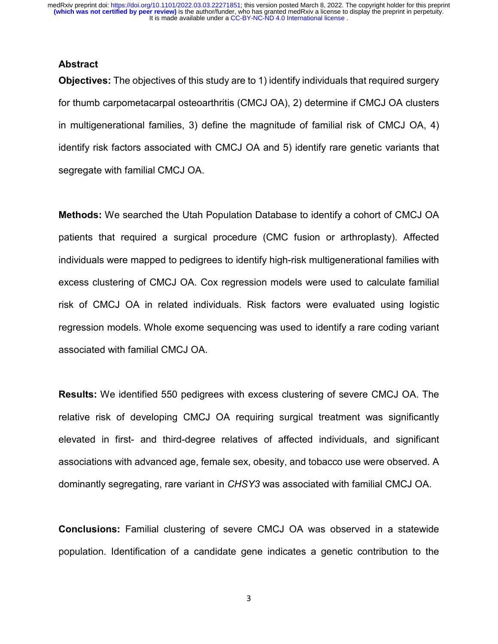#### **Abstract**

**Objectives:** The objectives of this study are to 1) identify individuals that required surgery for thumb carpometacarpal osteoarthritis (CMCJ OA), 2) determine if CMCJ OA clusters in multigenerational families, 3) define the magnitude of familial risk of CMCJ OA, 4) identify risk factors associated with CMCJ OA and 5) identify rare genetic variants that segregate with familial CMCJ OA.

**Methods:** We searched the Utah Population Database to identify a cohort of CMCJ OA patients that required a surgical procedure (CMC fusion or arthroplasty). Affected individuals were mapped to pedigrees to identify high-risk multigenerational families with excess clustering of CMCJ OA. Cox regression models were used to calculate familial risk of CMCJ OA in related individuals. Risk factors were evaluated using logistic regression models. Whole exome sequencing was used to identify a rare coding variant associated with familial CMCJ OA.

**Results:** We identified 550 pedigrees with excess clustering of severe CMCJ OA. The relative risk of developing CMCJ OA requiring surgical treatment was significantly elevated in first- and third-degree relatives of affected individuals, and significant associations with advanced age, female sex, obesity, and tobacco use were observed. A dominantly segregating, rare variant in *CHSY3* was associated with familial CMCJ OA.

**Conclusions:** Familial clustering of severe CMCJ OA was observed in a statewide population. Identification of a candidate gene indicates a genetic contribution to the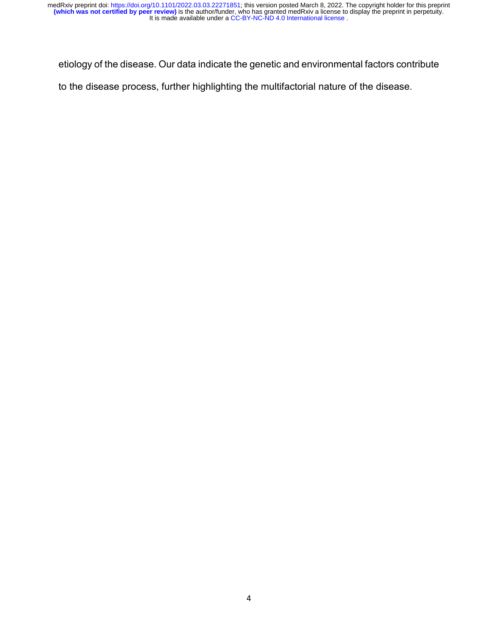etiology of the disease. Our data indicate the genetic and environmental factors contribute

to the disease process, further highlighting the multifactorial nature of the disease.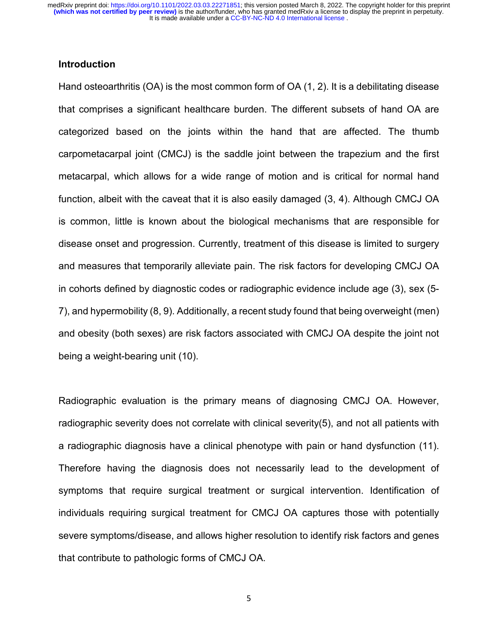## **Introduction**

Hand osteoarthritis (OA) is the most common form of OA (1, 2). It is a debilitating disease that comprises a significant healthcare burden. The different subsets of hand OA are categorized based on the joints within the hand that are affected. The thumb carpometacarpal joint (CMCJ) is the saddle joint between the trapezium and the first metacarpal, which allows for a wide range of motion and is critical for normal hand function, albeit with the caveat that it is also easily damaged (3, 4). Although CMCJ OA is common, little is known about the biological mechanisms that are responsible for disease onset and progression. Currently, treatment of this disease is limited to surgery and measures that temporarily alleviate pain. The risk factors for developing CMCJ OA in cohorts defined by diagnostic codes or radiographic evidence include age (3), sex (5- 7), and hypermobility (8, 9). Additionally, a recent study found that being overweight (men) and obesity (both sexes) are risk factors associated with CMCJ OA despite the joint not being a weight-bearing unit (10).

Radiographic evaluation is the primary means of diagnosing CMCJ OA. However, radiographic severity does not correlate with clinical severity(5), and not all patients with a radiographic diagnosis have a clinical phenotype with pain or hand dysfunction (11). Therefore having the diagnosis does not necessarily lead to the development of symptoms that require surgical treatment or surgical intervention. Identification of individuals requiring surgical treatment for CMCJ OA captures those with potentially severe symptoms/disease, and allows higher resolution to identify risk factors and genes that contribute to pathologic forms of CMCJ OA.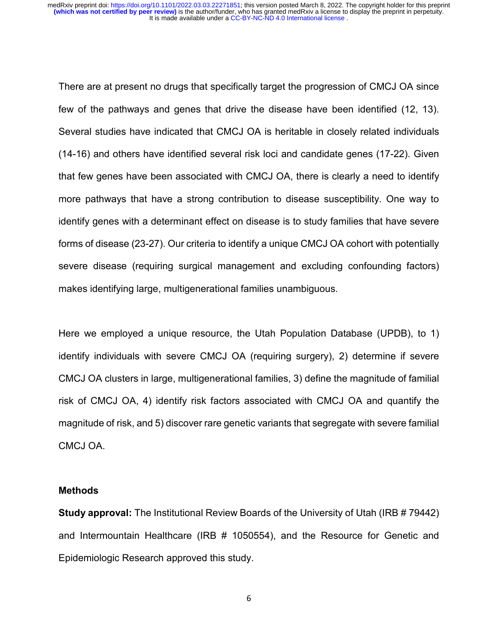There are at present no drugs that specifically target the progression of CMCJ OA since few of the pathways and genes that drive the disease have been identified (12, 13). Several studies have indicated that CMCJ OA is heritable in closely related individuals (14-16) and others have identified several risk loci and candidate genes (17-22). Given that few genes have been associated with CMCJ OA, there is clearly a need to identify more pathways that have a strong contribution to disease susceptibility. One way to identify genes with a determinant effect on disease is to study families that have severe forms of disease (23-27). Our criteria to identify a unique CMCJ OA cohort with potentially severe disease (requiring surgical management and excluding confounding factors) makes identifying large, multigenerational families unambiguous.

Here we employed a unique resource, the Utah Population Database (UPDB), to 1) identify individuals with severe CMCJ OA (requiring surgery), 2) determine if severe CMCJ OA clusters in large, multigenerational families, 3) define the magnitude of familial risk of CMCJ OA, 4) identify risk factors associated with CMCJ OA and quantify the magnitude of risk, and 5) discover rare genetic variants that segregate with severe familial CMCJ OA.

#### **Methods**

**Study approval:** The Institutional Review Boards of the University of Utah (IRB # 79442) and Intermountain Healthcare (IRB # 1050554), and the Resource for Genetic and Epidemiologic Research approved this study.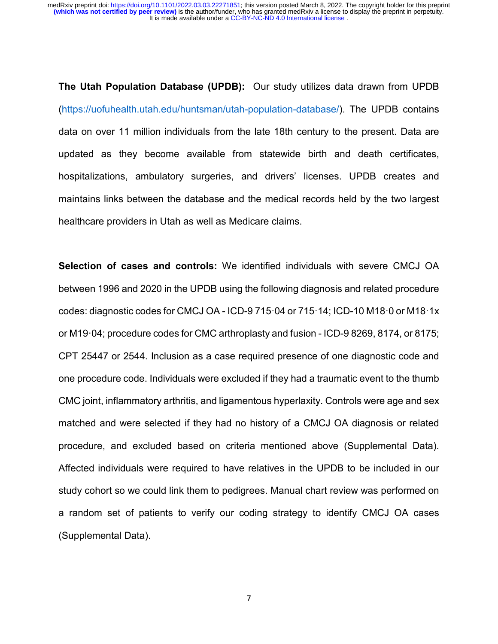**The Utah Population Database (UPDB):** Our study utilizes data drawn from UPDB [\(https://uofuhealth.utah.edu/huntsman/utah-population-database/\)](https://uofuhealth.utah.edu/huntsman/utah-population-database/). The UPDB contains data on over 11 million individuals from the late 18th century to the present. Data are updated as they become available from statewide birth and death certificates, hospitalizations, ambulatory surgeries, and drivers' licenses. UPDB creates and maintains links between the database and the medical records held by the two largest healthcare providers in Utah as well as Medicare claims.

**Selection of cases and controls:** We identified individuals with severe CMCJ OA between 1996 and 2020 in the UPDB using the following diagnosis and related procedure codes: diagnostic codes for CMCJ OA - ICD-9 715·04 or 715·14; ICD-10 M18·0 or M18·1x or M19·04; procedure codes for CMC arthroplasty and fusion - ICD-9 8269, 8174, or 8175; CPT 25447 or 2544. Inclusion as a case required presence of one diagnostic code and one procedure code. Individuals were excluded if they had a traumatic event to the thumb CMC joint, inflammatory arthritis, and ligamentous hyperlaxity. Controls were age and sex matched and were selected if they had no history of a CMCJ OA diagnosis or related procedure, and excluded based on criteria mentioned above (Supplemental Data). Affected individuals were required to have relatives in the UPDB to be included in our study cohort so we could link them to pedigrees. Manual chart review was performed on a random set of patients to verify our coding strategy to identify CMCJ OA cases (Supplemental Data).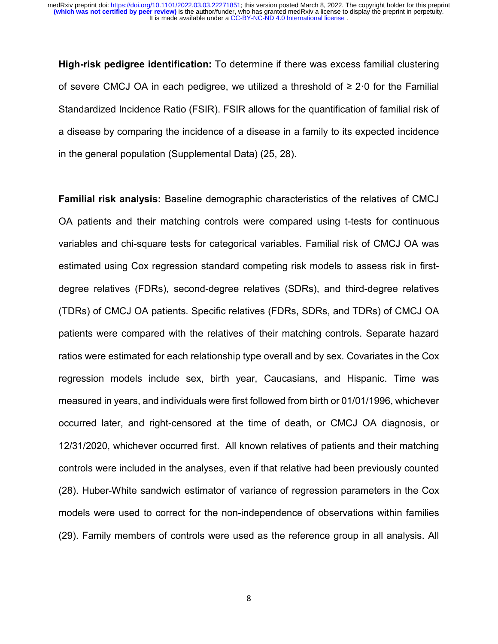**High-risk pedigree identification:** To determine if there was excess familial clustering of severe CMCJ OA in each pedigree, we utilized a threshold of  $\geq 2.0$  for the Familial Standardized Incidence Ratio (FSIR). FSIR allows for the quantification of familial risk of a disease by comparing the incidence of a disease in a family to its expected incidence in the general population (Supplemental Data) (25, 28).

**Familial risk analysis:** Baseline demographic characteristics of the relatives of CMCJ OA patients and their matching controls were compared using t-tests for continuous variables and chi-square tests for categorical variables. Familial risk of CMCJ OA was estimated using Cox regression standard competing risk models to assess risk in firstdegree relatives (FDRs), second-degree relatives (SDRs), and third-degree relatives (TDRs) of CMCJ OA patients. Specific relatives (FDRs, SDRs, and TDRs) of CMCJ OA patients were compared with the relatives of their matching controls. Separate hazard ratios were estimated for each relationship type overall and by sex. Covariates in the Cox regression models include sex, birth year, Caucasians, and Hispanic. Time was measured in years, and individuals were first followed from birth or 01/01/1996, whichever occurred later, and right-censored at the time of death, or CMCJ OA diagnosis, or 12/31/2020, whichever occurred first. All known relatives of patients and their matching controls were included in the analyses, even if that relative had been previously counted (28). Huber-White sandwich estimator of variance of regression parameters in the Cox models were used to correct for the non-independence of observations within families (29). Family members of controls were used as the reference group in all analysis. All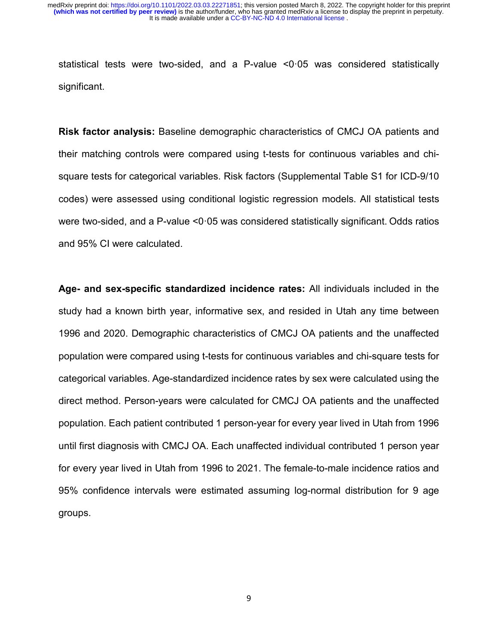statistical tests were two-sided, and a P-value <0·05 was considered statistically significant.

**Risk factor analysis:** Baseline demographic characteristics of CMCJ OA patients and their matching controls were compared using t-tests for continuous variables and chisquare tests for categorical variables. Risk factors (Supplemental Table S1 for ICD-9/10 codes) were assessed using conditional logistic regression models. All statistical tests were two-sided, and a P-value <0·05 was considered statistically significant. Odds ratios and 95% CI were calculated.

**Age- and sex-specific standardized incidence rates:** All individuals included in the study had a known birth year, informative sex, and resided in Utah any time between 1996 and 2020. Demographic characteristics of CMCJ OA patients and the unaffected population were compared using t-tests for continuous variables and chi-square tests for categorical variables. Age-standardized incidence rates by sex were calculated using the direct method. Person-years were calculated for CMCJ OA patients and the unaffected population. Each patient contributed 1 person-year for every year lived in Utah from 1996 until first diagnosis with CMCJ OA. Each unaffected individual contributed 1 person year for every year lived in Utah from 1996 to 2021. The female-to-male incidence ratios and 95% confidence intervals were estimated assuming log-normal distribution for 9 age groups.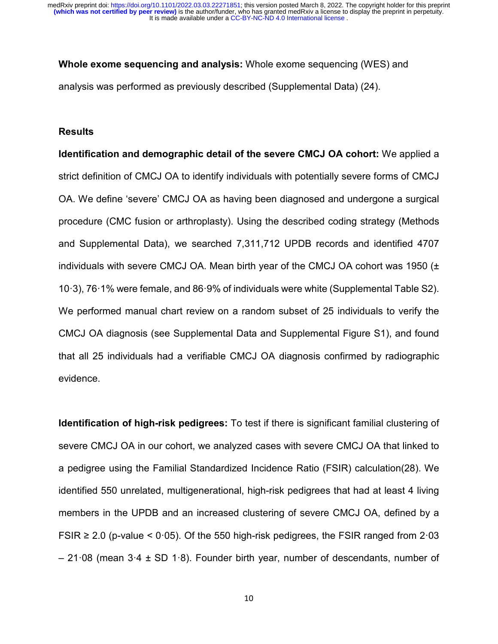**Whole exome sequencing and analysis:** Whole exome sequencing (WES) and analysis was performed as previously described (Supplemental Data) (24).

#### **Results**

**Identification and demographic detail of the severe CMCJ OA cohort:** We applied a strict definition of CMCJ OA to identify individuals with potentially severe forms of CMCJ OA. We define 'severe' CMCJ OA as having been diagnosed and undergone a surgical procedure (CMC fusion or arthroplasty). Using the described coding strategy (Methods and Supplemental Data), we searched 7,311,712 UPDB records and identified 4707 individuals with severe CMCJ OA. Mean birth year of the CMCJ OA cohort was 1950 (± 10·3), 76·1% were female, and 86·9% of individuals were white (Supplemental Table S2). We performed manual chart review on a random subset of 25 individuals to verify the CMCJ OA diagnosis (see Supplemental Data and Supplemental Figure S1), and found that all 25 individuals had a verifiable CMCJ OA diagnosis confirmed by radiographic evidence.

**Identification of high-risk pedigrees:** To test if there is significant familial clustering of severe CMCJ OA in our cohort, we analyzed cases with severe CMCJ OA that linked to a pedigree using the Familial Standardized Incidence Ratio (FSIR) calculation(28). We identified 550 unrelated, multigenerational, high-risk pedigrees that had at least 4 living members in the UPDB and an increased clustering of severe CMCJ OA, defined by a FSIR  $\geq$  2.0 (p-value < 0.05). Of the 550 high-risk pedigrees, the FSIR ranged from 2.03  $-21.08$  (mean  $3.4 \pm SD$  1.8). Founder birth year, number of descendants, number of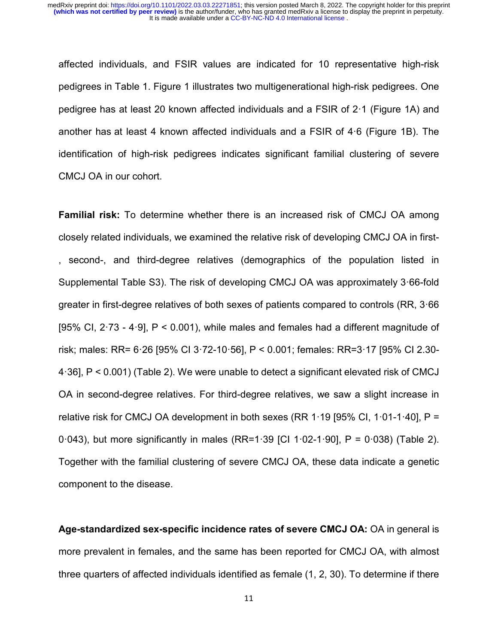affected individuals, and FSIR values are indicated for 10 representative high-risk pedigrees in Table 1. Figure 1 illustrates two multigenerational high-risk pedigrees. One pedigree has at least 20 known affected individuals and a FSIR of 2·1 (Figure 1A) and another has at least 4 known affected individuals and a FSIR of 4·6 (Figure 1B). The identification of high-risk pedigrees indicates significant familial clustering of severe CMCJ OA in our cohort.

**Familial risk:** To determine whether there is an increased risk of CMCJ OA among closely related individuals, we examined the relative risk of developing CMCJ OA in first- , second-, and third-degree relatives (demographics of the population listed in Supplemental Table S3). The risk of developing CMCJ OA was approximately 3·66-fold greater in first-degree relatives of both sexes of patients compared to controls (RR, 3·66 [95% CI, 2·73 - 4·9], P < 0.001), while males and females had a different magnitude of risk; males: RR= 6·26 [95% CI 3·72-10·56], P < 0.001; females: RR=3·17 [95% CI 2.30- 4·36], P < 0.001) (Table 2). We were unable to detect a significant elevated risk of CMCJ OA in second-degree relatives. For third-degree relatives, we saw a slight increase in relative risk for CMCJ OA development in both sexes (RR  $1.19$  [95% CI,  $1.01$ -1 $.40$ ], P = 0·043), but more significantly in males (RR=1·39 [CI 1·02-1·90], P = 0·038) (Table 2). Together with the familial clustering of severe CMCJ OA, these data indicate a genetic component to the disease.

**Age-standardized sex-specific incidence rates of severe CMCJ OA:** OA in general is more prevalent in females, and the same has been reported for CMCJ OA, with almost three quarters of affected individuals identified as female (1, 2, 30). To determine if there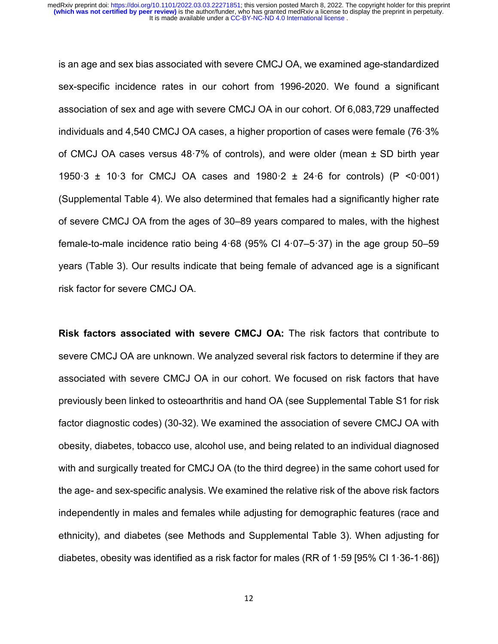is an age and sex bias associated with severe CMCJ OA, we examined age-standardized sex-specific incidence rates in our cohort from 1996-2020. We found a significant association of sex and age with severe CMCJ OA in our cohort. Of 6,083,729 unaffected individuals and 4,540 CMCJ OA cases, a higher proportion of cases were female (76·3% of CMCJ OA cases versus 48·7% of controls), and were older (mean ± SD birth year 1950·3 ± 10·3 for CMCJ OA cases and 1980·2 ± 24·6 for controls) (P <0·001) (Supplemental Table 4). We also determined that females had a significantly higher rate of severe CMCJ OA from the ages of 30–89 years compared to males, with the highest female-to-male incidence ratio being 4·68 (95% CI 4·07–5·37) in the age group 50–59 years (Table 3). Our results indicate that being female of advanced age is a significant risk factor for severe CMCJ OA.

**Risk factors associated with severe CMCJ OA:** The risk factors that contribute to severe CMCJ OA are unknown. We analyzed several risk factors to determine if they are associated with severe CMCJ OA in our cohort. We focused on risk factors that have previously been linked to osteoarthritis and hand OA (see Supplemental Table S1 for risk factor diagnostic codes) (30-32). We examined the association of severe CMCJ OA with obesity, diabetes, tobacco use, alcohol use, and being related to an individual diagnosed with and surgically treated for CMCJ OA (to the third degree) in the same cohort used for the age- and sex-specific analysis. We examined the relative risk of the above risk factors independently in males and females while adjusting for demographic features (race and ethnicity), and diabetes (see Methods and Supplemental Table 3). When adjusting for diabetes, obesity was identified as a risk factor for males (RR of  $1.59$  [95% CI  $1.36$ -1.86])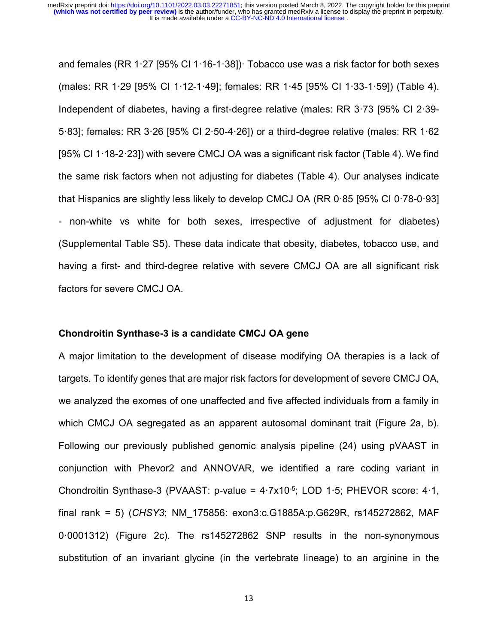and females (RR 1·27 [95% CI 1·16-1·38])· Tobacco use was a risk factor for both sexes (males: RR 1·29 [95% CI 1·12-1·49]; females: RR 1·45 [95% CI 1·33-1·59]) (Table 4). Independent of diabetes, having a first-degree relative (males: RR 3·73 [95% CI 2·39- 5·83]; females: RR 3·26 [95% CI 2·50-4·26]) or a third-degree relative (males: RR 1·62 [95% CI 1·18-2·23]) with severe CMCJ OA was a significant risk factor (Table 4). We find the same risk factors when not adjusting for diabetes (Table 4). Our analyses indicate that Hispanics are slightly less likely to develop CMCJ OA (RR 0·85 [95% CI 0·78-0·93] - non-white vs white for both sexes, irrespective of adjustment for diabetes) (Supplemental Table S5). These data indicate that obesity, diabetes, tobacco use, and having a first- and third-degree relative with severe CMCJ OA are all significant risk factors for severe CMCJ OA.

#### **Chondroitin Synthase-3 is a candidate CMCJ OA gene**

A major limitation to the development of disease modifying OA therapies is a lack of targets. To identify genes that are major risk factors for development of severe CMCJ OA, we analyzed the exomes of one unaffected and five affected individuals from a family in which CMCJ OA segregated as an apparent autosomal dominant trait (Figure 2a, b). Following our previously published genomic analysis pipeline (24) using pVAAST in conjunction with Phevor2 and ANNOVAR, we identified a rare coding variant in Chondroitin Synthase-3 (PVAAST: p-value = 4·7x10-5; LOD 1·5; PHEVOR score: 4·1, final rank = 5) (*CHSY3*; NM\_175856: exon3:c.G1885A:p.G629R, rs145272862, MAF 0·0001312) (Figure 2c). The rs145272862 SNP results in the non-synonymous substitution of an invariant glycine (in the vertebrate lineage) to an arginine in the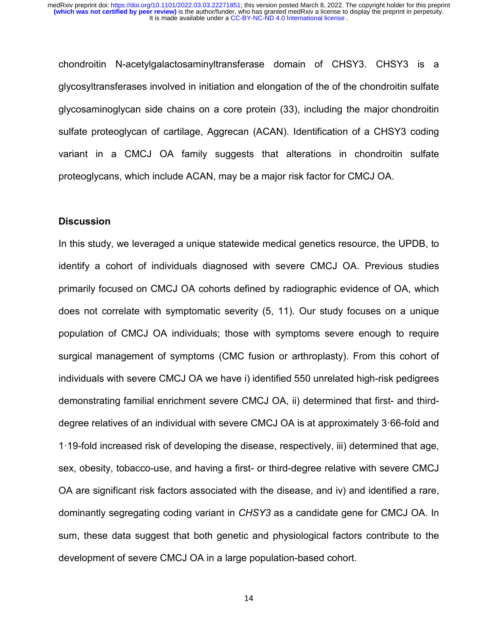chondroitin N-acetylgalactosaminyltransferase domain of CHSY3. CHSY3 is a glycosyltransferases involved in initiation and elongation of the of the chondroitin sulfate glycosaminoglycan side chains on a core protein (33), including the major chondroitin sulfate proteoglycan of cartilage, Aggrecan (ACAN). Identification of a CHSY3 coding variant in a CMCJ OA family suggests that alterations in chondroitin sulfate proteoglycans, which include ACAN, may be a major risk factor for CMCJ OA.

#### **Discussion**

In this study, we leveraged a unique statewide medical genetics resource, the UPDB, to identify a cohort of individuals diagnosed with severe CMCJ OA. Previous studies primarily focused on CMCJ OA cohorts defined by radiographic evidence of OA, which does not correlate with symptomatic severity (5, 11). Our study focuses on a unique population of CMCJ OA individuals; those with symptoms severe enough to require surgical management of symptoms (CMC fusion or arthroplasty). From this cohort of individuals with severe CMCJ OA we have i) identified 550 unrelated high-risk pedigrees demonstrating familial enrichment severe CMCJ OA, ii) determined that first- and thirddegree relatives of an individual with severe CMCJ OA is at approximately 3·66-fold and 1·19-fold increased risk of developing the disease, respectively, iii) determined that age, sex, obesity, tobacco-use, and having a first- or third-degree relative with severe CMCJ OA are significant risk factors associated with the disease, and iv) and identified a rare, dominantly segregating coding variant in *CHSY3* as a candidate gene for CMCJ OA. In sum, these data suggest that both genetic and physiological factors contribute to the development of severe CMCJ OA in a large population-based cohort.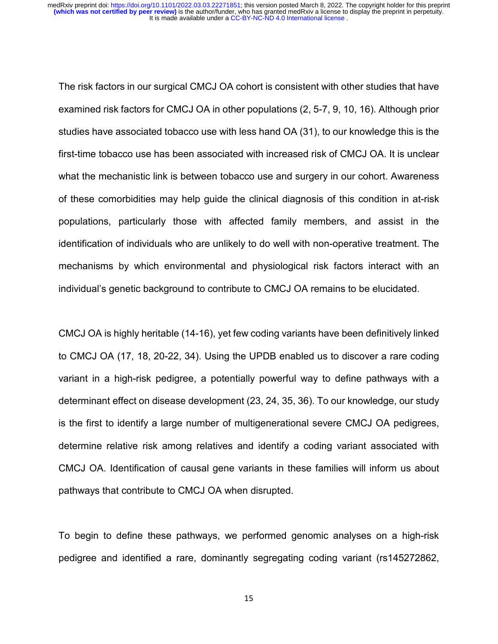The risk factors in our surgical CMCJ OA cohort is consistent with other studies that have examined risk factors for CMCJ OA in other populations (2, 5-7, 9, 10, 16). Although prior studies have associated tobacco use with less hand OA (31), to our knowledge this is the first-time tobacco use has been associated with increased risk of CMCJ OA. It is unclear what the mechanistic link is between tobacco use and surgery in our cohort. Awareness of these comorbidities may help guide the clinical diagnosis of this condition in at-risk populations, particularly those with affected family members, and assist in the identification of individuals who are unlikely to do well with non-operative treatment. The mechanisms by which environmental and physiological risk factors interact with an individual's genetic background to contribute to CMCJ OA remains to be elucidated.

CMCJ OA is highly heritable (14-16), yet few coding variants have been definitively linked to CMCJ OA (17, 18, 20-22, 34). Using the UPDB enabled us to discover a rare coding variant in a high-risk pedigree, a potentially powerful way to define pathways with a determinant effect on disease development (23, 24, 35, 36). To our knowledge, our study is the first to identify a large number of multigenerational severe CMCJ OA pedigrees, determine relative risk among relatives and identify a coding variant associated with CMCJ OA. Identification of causal gene variants in these families will inform us about pathways that contribute to CMCJ OA when disrupted.

To begin to define these pathways, we performed genomic analyses on a high-risk pedigree and identified a rare, dominantly segregating coding variant (rs145272862,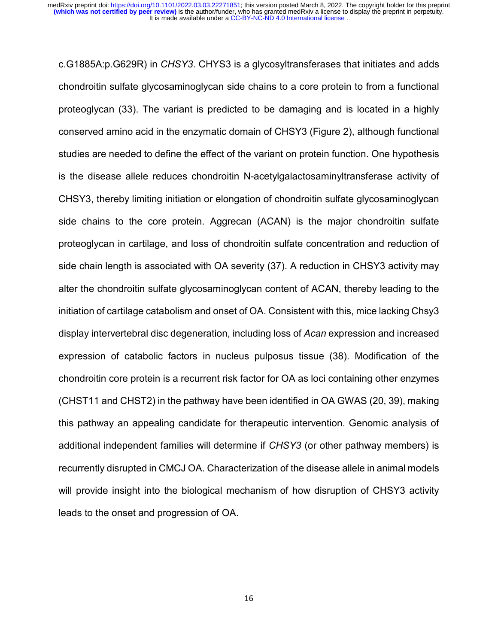c.G1885A:p.G629R) in *CHSY3*. CHYS3 is a glycosyltransferases that initiates and adds chondroitin sulfate glycosaminoglycan side chains to a core protein to from a functional proteoglycan (33). The variant is predicted to be damaging and is located in a highly conserved amino acid in the enzymatic domain of CHSY3 (Figure 2), although functional studies are needed to define the effect of the variant on protein function. One hypothesis is the disease allele reduces chondroitin N-acetylgalactosaminyltransferase activity of CHSY3, thereby limiting initiation or elongation of chondroitin sulfate glycosaminoglycan side chains to the core protein. Aggrecan (ACAN) is the major chondroitin sulfate proteoglycan in cartilage, and loss of chondroitin sulfate concentration and reduction of side chain length is associated with OA severity (37). A reduction in CHSY3 activity may alter the chondroitin sulfate glycosaminoglycan content of ACAN, thereby leading to the initiation of cartilage catabolism and onset of OA. Consistent with this, mice lacking Chsy3 display intervertebral disc degeneration, including loss of *Acan* expression and increased expression of catabolic factors in nucleus pulposus tissue (38). Modification of the chondroitin core protein is a recurrent risk factor for OA as loci containing other enzymes (CHST11 and CHST2) in the pathway have been identified in OA GWAS (20, 39), making this pathway an appealing candidate for therapeutic intervention. Genomic analysis of additional independent families will determine if *CHSY3* (or other pathway members) is recurrently disrupted in CMCJ OA. Characterization of the disease allele in animal models will provide insight into the biological mechanism of how disruption of CHSY3 activity leads to the onset and progression of OA.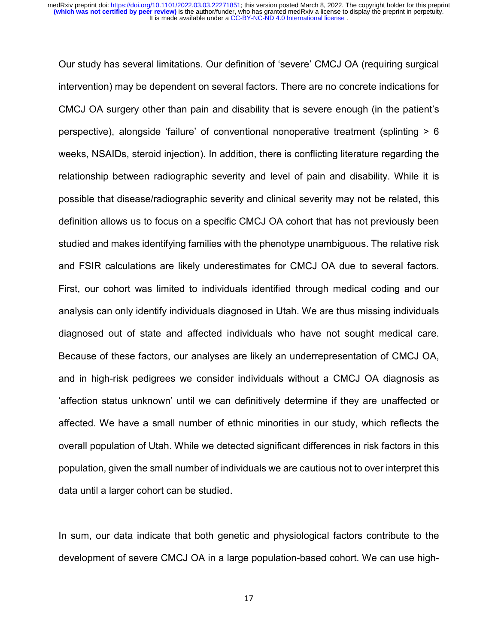Our study has several limitations. Our definition of 'severe' CMCJ OA (requiring surgical intervention) may be dependent on several factors. There are no concrete indications for CMCJ OA surgery other than pain and disability that is severe enough (in the patient's perspective), alongside 'failure' of conventional nonoperative treatment (splinting > 6 weeks, NSAIDs, steroid injection). In addition, there is conflicting literature regarding the relationship between radiographic severity and level of pain and disability. While it is possible that disease/radiographic severity and clinical severity may not be related, this definition allows us to focus on a specific CMCJ OA cohort that has not previously been studied and makes identifying families with the phenotype unambiguous. The relative risk and FSIR calculations are likely underestimates for CMCJ OA due to several factors. First, our cohort was limited to individuals identified through medical coding and our analysis can only identify individuals diagnosed in Utah. We are thus missing individuals diagnosed out of state and affected individuals who have not sought medical care. Because of these factors, our analyses are likely an underrepresentation of CMCJ OA, and in high-risk pedigrees we consider individuals without a CMCJ OA diagnosis as 'affection status unknown' until we can definitively determine if they are unaffected or affected. We have a small number of ethnic minorities in our study, which reflects the overall population of Utah. While we detected significant differences in risk factors in this population, given the small number of individuals we are cautious not to over interpret this data until a larger cohort can be studied.

In sum, our data indicate that both genetic and physiological factors contribute to the development of severe CMCJ OA in a large population-based cohort. We can use high-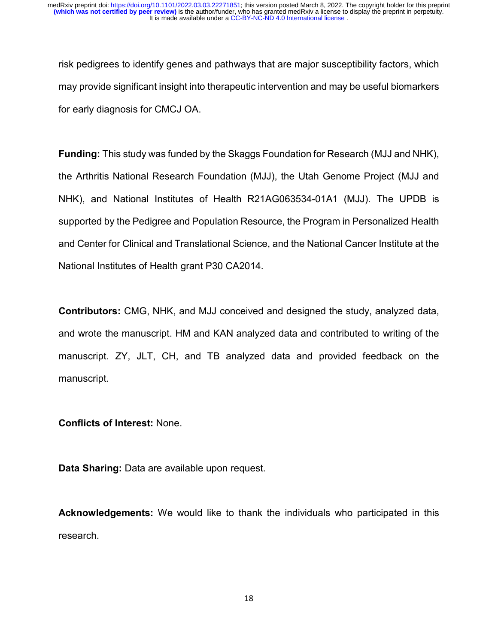risk pedigrees to identify genes and pathways that are major susceptibility factors, which may provide significant insight into therapeutic intervention and may be useful biomarkers for early diagnosis for CMCJ OA.

**Funding:** This study was funded by the Skaggs Foundation for Research (MJJ and NHK), the Arthritis National Research Foundation (MJJ), the Utah Genome Project (MJJ and NHK), and National Institutes of Health R21AG063534-01A1 (MJJ). The UPDB is supported by the Pedigree and Population Resource, the Program in Personalized Health and Center for Clinical and Translational Science, and the National Cancer Institute at the National Institutes of Health grant P30 CA2014.

**Contributors:** CMG, NHK, and MJJ conceived and designed the study, analyzed data, and wrote the manuscript. HM and KAN analyzed data and contributed to writing of the manuscript. ZY, JLT, CH, and TB analyzed data and provided feedback on the manuscript.

# **Conflicts of Interest:** None.

**Data Sharing:** Data are available upon request.

**Acknowledgements:** We would like to thank the individuals who participated in this research.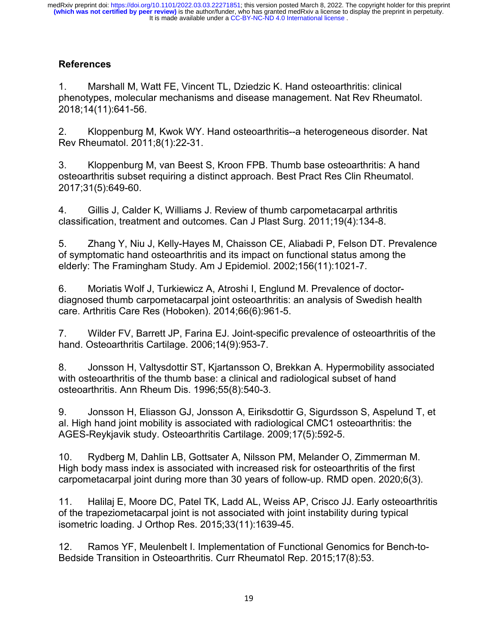# **References**

1. Marshall M, Watt FE, Vincent TL, Dziedzic K. Hand osteoarthritis: clinical phenotypes, molecular mechanisms and disease management. Nat Rev Rheumatol. 2018;14(11):641-56.

2. Kloppenburg M, Kwok WY. Hand osteoarthritis--a heterogeneous disorder. Nat Rev Rheumatol. 2011;8(1):22-31.

3. Kloppenburg M, van Beest S, Kroon FPB. Thumb base osteoarthritis: A hand osteoarthritis subset requiring a distinct approach. Best Pract Res Clin Rheumatol. 2017;31(5):649-60.

4. Gillis J, Calder K, Williams J. Review of thumb carpometacarpal arthritis classification, treatment and outcomes. Can J Plast Surg. 2011;19(4):134-8.

5. Zhang Y, Niu J, Kelly-Hayes M, Chaisson CE, Aliabadi P, Felson DT. Prevalence of symptomatic hand osteoarthritis and its impact on functional status among the elderly: The Framingham Study. Am J Epidemiol. 2002;156(11):1021-7.

6. Moriatis Wolf J, Turkiewicz A, Atroshi I, Englund M. Prevalence of doctordiagnosed thumb carpometacarpal joint osteoarthritis: an analysis of Swedish health care. Arthritis Care Res (Hoboken). 2014;66(6):961-5.

7. Wilder FV, Barrett JP, Farina EJ. Joint-specific prevalence of osteoarthritis of the hand. Osteoarthritis Cartilage. 2006;14(9):953-7.

8. Jonsson H, Valtysdottir ST, Kjartansson O, Brekkan A. Hypermobility associated with osteoarthritis of the thumb base: a clinical and radiological subset of hand osteoarthritis. Ann Rheum Dis. 1996;55(8):540-3.

9. Jonsson H, Eliasson GJ, Jonsson A, Eiriksdottir G, Sigurdsson S, Aspelund T, et al. High hand joint mobility is associated with radiological CMC1 osteoarthritis: the AGES-Reykjavik study. Osteoarthritis Cartilage. 2009;17(5):592-5.

10. Rydberg M, Dahlin LB, Gottsater A, Nilsson PM, Melander O, Zimmerman M. High body mass index is associated with increased risk for osteoarthritis of the first carpometacarpal joint during more than 30 years of follow-up. RMD open. 2020;6(3).

11. Halilaj E, Moore DC, Patel TK, Ladd AL, Weiss AP, Crisco JJ. Early osteoarthritis of the trapeziometacarpal joint is not associated with joint instability during typical isometric loading. J Orthop Res. 2015;33(11):1639-45.

12. Ramos YF, Meulenbelt I. Implementation of Functional Genomics for Bench-to-Bedside Transition in Osteoarthritis. Curr Rheumatol Rep. 2015;17(8):53.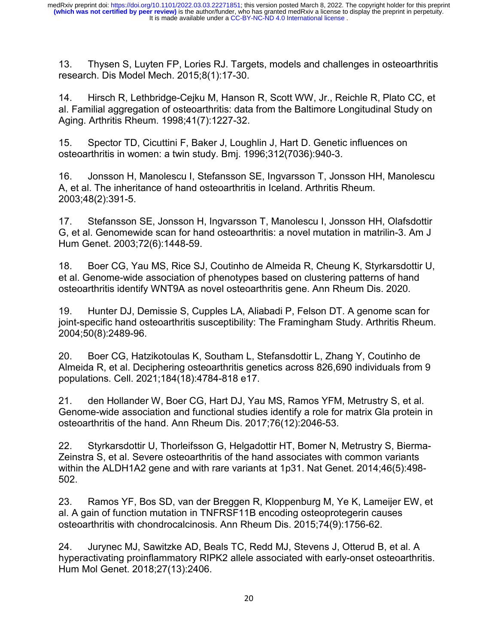13. Thysen S, Luyten FP, Lories RJ. Targets, models and challenges in osteoarthritis research. Dis Model Mech. 2015;8(1):17-30.

14. Hirsch R, Lethbridge-Cejku M, Hanson R, Scott WW, Jr., Reichle R, Plato CC, et al. Familial aggregation of osteoarthritis: data from the Baltimore Longitudinal Study on Aging. Arthritis Rheum. 1998;41(7):1227-32.

15. Spector TD, Cicuttini F, Baker J, Loughlin J, Hart D. Genetic influences on osteoarthritis in women: a twin study. Bmj. 1996;312(7036):940-3.

16. Jonsson H, Manolescu I, Stefansson SE, Ingvarsson T, Jonsson HH, Manolescu A, et al. The inheritance of hand osteoarthritis in Iceland. Arthritis Rheum. 2003;48(2):391-5.

17. Stefansson SE, Jonsson H, Ingvarsson T, Manolescu I, Jonsson HH, Olafsdottir G, et al. Genomewide scan for hand osteoarthritis: a novel mutation in matrilin-3. Am J Hum Genet. 2003;72(6):1448-59.

18. Boer CG, Yau MS, Rice SJ, Coutinho de Almeida R, Cheung K, Styrkarsdottir U, et al. Genome-wide association of phenotypes based on clustering patterns of hand osteoarthritis identify WNT9A as novel osteoarthritis gene. Ann Rheum Dis. 2020.

19. Hunter DJ, Demissie S, Cupples LA, Aliabadi P, Felson DT. A genome scan for joint-specific hand osteoarthritis susceptibility: The Framingham Study. Arthritis Rheum. 2004;50(8):2489-96.

20. Boer CG, Hatzikotoulas K, Southam L, Stefansdottir L, Zhang Y, Coutinho de Almeida R, et al. Deciphering osteoarthritis genetics across 826,690 individuals from 9 populations. Cell. 2021;184(18):4784-818 e17.

21. den Hollander W, Boer CG, Hart DJ, Yau MS, Ramos YFM, Metrustry S, et al. Genome-wide association and functional studies identify a role for matrix Gla protein in osteoarthritis of the hand. Ann Rheum Dis. 2017;76(12):2046-53.

22. Styrkarsdottir U, Thorleifsson G, Helgadottir HT, Bomer N, Metrustry S, Bierma-Zeinstra S, et al. Severe osteoarthritis of the hand associates with common variants within the ALDH1A2 gene and with rare variants at 1p31. Nat Genet. 2014;46(5):498- 502.

23. Ramos YF, Bos SD, van der Breggen R, Kloppenburg M, Ye K, Lameijer EW, et al. A gain of function mutation in TNFRSF11B encoding osteoprotegerin causes osteoarthritis with chondrocalcinosis. Ann Rheum Dis. 2015;74(9):1756-62.

24. Jurynec MJ, Sawitzke AD, Beals TC, Redd MJ, Stevens J, Otterud B, et al. A hyperactivating proinflammatory RIPK2 allele associated with early-onset osteoarthritis. Hum Mol Genet. 2018;27(13):2406.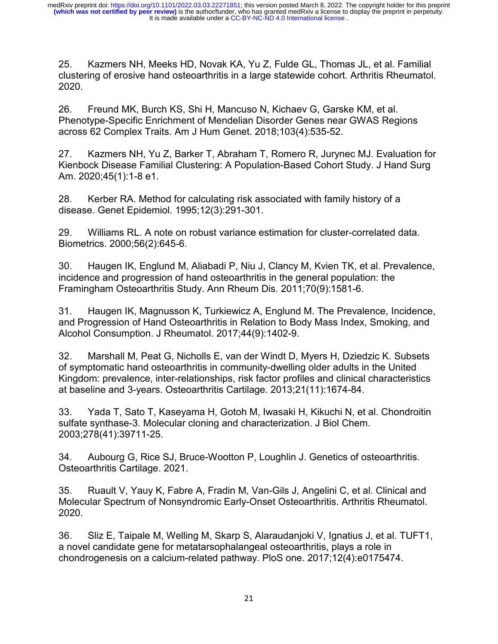25. Kazmers NH, Meeks HD, Novak KA, Yu Z, Fulde GL, Thomas JL, et al. Familial clustering of erosive hand osteoarthritis in a large statewide cohort. Arthritis Rheumatol. 2020.

26. Freund MK, Burch KS, Shi H, Mancuso N, Kichaev G, Garske KM, et al. Phenotype-Specific Enrichment of Mendelian Disorder Genes near GWAS Regions across 62 Complex Traits. Am J Hum Genet. 2018;103(4):535-52.

27. Kazmers NH, Yu Z, Barker T, Abraham T, Romero R, Jurynec MJ. Evaluation for Kienbock Disease Familial Clustering: A Population-Based Cohort Study. J Hand Surg Am. 2020;45(1):1-8 e1.

28. Kerber RA. Method for calculating risk associated with family history of a disease. Genet Epidemiol. 1995;12(3):291-301.

29. Williams RL. A note on robust variance estimation for cluster-correlated data. Biometrics. 2000;56(2):645-6.

30. Haugen IK, Englund M, Aliabadi P, Niu J, Clancy M, Kvien TK, et al. Prevalence, incidence and progression of hand osteoarthritis in the general population: the Framingham Osteoarthritis Study. Ann Rheum Dis. 2011;70(9):1581-6.

31. Haugen IK, Magnusson K, Turkiewicz A, Englund M. The Prevalence, Incidence, and Progression of Hand Osteoarthritis in Relation to Body Mass Index, Smoking, and Alcohol Consumption. J Rheumatol. 2017;44(9):1402-9.

32. Marshall M, Peat G, Nicholls E, van der Windt D, Myers H, Dziedzic K. Subsets of symptomatic hand osteoarthritis in community-dwelling older adults in the United Kingdom: prevalence, inter-relationships, risk factor profiles and clinical characteristics at baseline and 3-years. Osteoarthritis Cartilage. 2013;21(11):1674-84.

33. Yada T, Sato T, Kaseyama H, Gotoh M, Iwasaki H, Kikuchi N, et al. Chondroitin sulfate synthase-3. Molecular cloning and characterization. J Biol Chem. 2003;278(41):39711-25.

34. Aubourg G, Rice SJ, Bruce-Wootton P, Loughlin J. Genetics of osteoarthritis. Osteoarthritis Cartilage. 2021.

35. Ruault V, Yauy K, Fabre A, Fradin M, Van-Gils J, Angelini C, et al. Clinical and Molecular Spectrum of Nonsyndromic Early-Onset Osteoarthritis. Arthritis Rheumatol. 2020.

36. Sliz E, Taipale M, Welling M, Skarp S, Alaraudanjoki V, Ignatius J, et al. TUFT1, a novel candidate gene for metatarsophalangeal osteoarthritis, plays a role in chondrogenesis on a calcium-related pathway. PloS one. 2017;12(4):e0175474.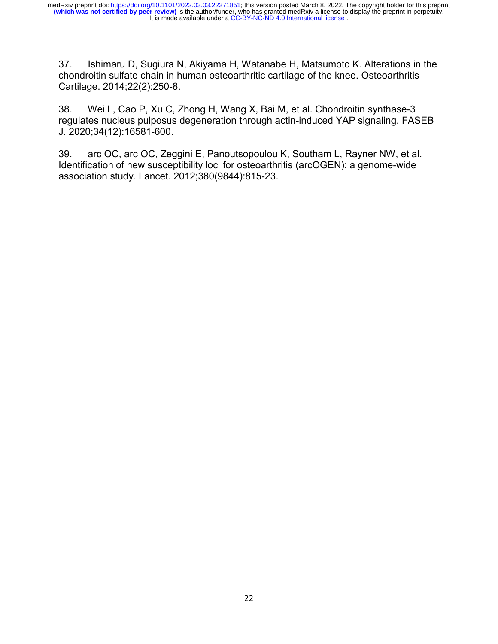37. Ishimaru D, Sugiura N, Akiyama H, Watanabe H, Matsumoto K. Alterations in the chondroitin sulfate chain in human osteoarthritic cartilage of the knee. Osteoarthritis Cartilage. 2014;22(2):250-8.

38. Wei L, Cao P, Xu C, Zhong H, Wang X, Bai M, et al. Chondroitin synthase-3 regulates nucleus pulposus degeneration through actin-induced YAP signaling. FASEB J. 2020;34(12):16581-600.

39. arc OC, arc OC, Zeggini E, Panoutsopoulou K, Southam L, Rayner NW, et al. Identification of new susceptibility loci for osteoarthritis (arcOGEN): a genome-wide association study. Lancet. 2012;380(9844):815-23.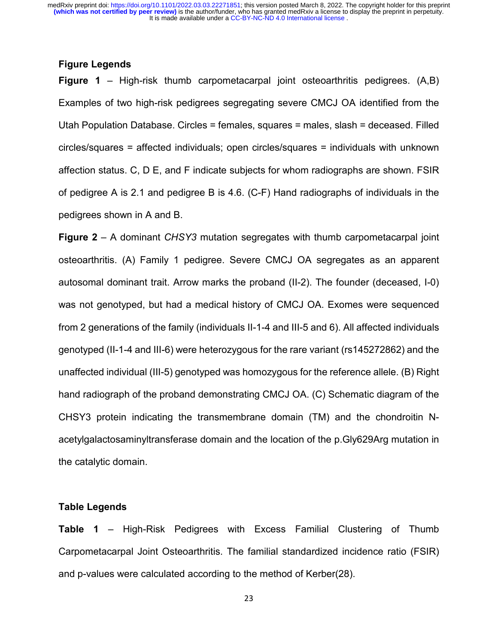# **Figure Legends**

**Figure 1** – High-risk thumb carpometacarpal joint osteoarthritis pedigrees. (A,B) Examples of two high-risk pedigrees segregating severe CMCJ OA identified from the Utah Population Database. Circles = females, squares = males, slash = deceased. Filled circles/squares = affected individuals; open circles/squares = individuals with unknown affection status. C, D E, and F indicate subjects for whom radiographs are shown. FSIR of pedigree A is 2.1 and pedigree B is 4.6. (C-F) Hand radiographs of individuals in the pedigrees shown in A and B.

**Figure 2** – A dominant *CHSY3* mutation segregates with thumb carpometacarpal joint osteoarthritis. (A) Family 1 pedigree. Severe CMCJ OA segregates as an apparent autosomal dominant trait. Arrow marks the proband (II-2). The founder (deceased, I-0) was not genotyped, but had a medical history of CMCJ OA. Exomes were sequenced from 2 generations of the family (individuals II-1-4 and III-5 and 6). All affected individuals genotyped (II-1-4 and III-6) were heterozygous for the rare variant (rs145272862) and the unaffected individual (III-5) genotyped was homozygous for the reference allele. (B) Right hand radiograph of the proband demonstrating CMCJ OA. (C) Schematic diagram of the CHSY3 protein indicating the transmembrane domain (TM) and the chondroitin Nacetylgalactosaminyltransferase domain and the location of the p.Gly629Arg mutation in the catalytic domain.

#### **Table Legends**

**Table 1** – High-Risk Pedigrees with Excess Familial Clustering of Thumb Carpometacarpal Joint Osteoarthritis. The familial standardized incidence ratio (FSIR) and p-values were calculated according to the method of Kerber(28).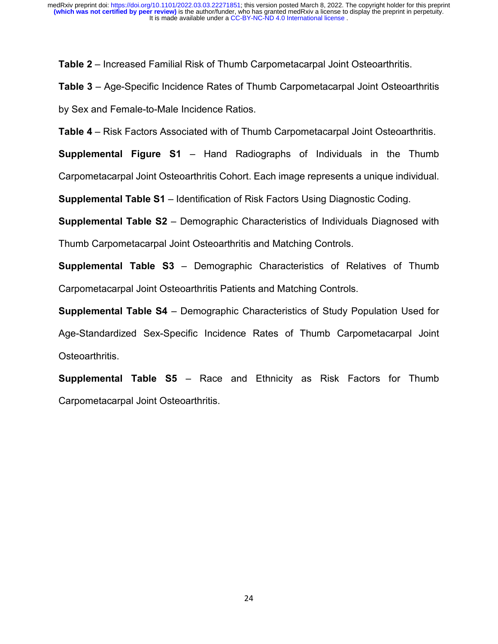**Table 2** – Increased Familial Risk of Thumb Carpometacarpal Joint Osteoarthritis.

**Table 3** – Age-Specific Incidence Rates of Thumb Carpometacarpal Joint Osteoarthritis by Sex and Female-to-Male Incidence Ratios.

**Table 4** – Risk Factors Associated with of Thumb Carpometacarpal Joint Osteoarthritis.

**Supplemental Figure S1** – Hand Radiographs of Individuals in the Thumb Carpometacarpal Joint Osteoarthritis Cohort. Each image represents a unique individual.

**Supplemental Table S1** – Identification of Risk Factors Using Diagnostic Coding.

**Supplemental Table S2** – Demographic Characteristics of Individuals Diagnosed with Thumb Carpometacarpal Joint Osteoarthritis and Matching Controls.

**Supplemental Table S3** – Demographic Characteristics of Relatives of Thumb Carpometacarpal Joint Osteoarthritis Patients and Matching Controls.

**Supplemental Table S4** – Demographic Characteristics of Study Population Used for Age-Standardized Sex-Specific Incidence Rates of Thumb Carpometacarpal Joint Osteoarthritis.

**Supplemental Table S5** – Race and Ethnicity as Risk Factors for Thumb Carpometacarpal Joint Osteoarthritis.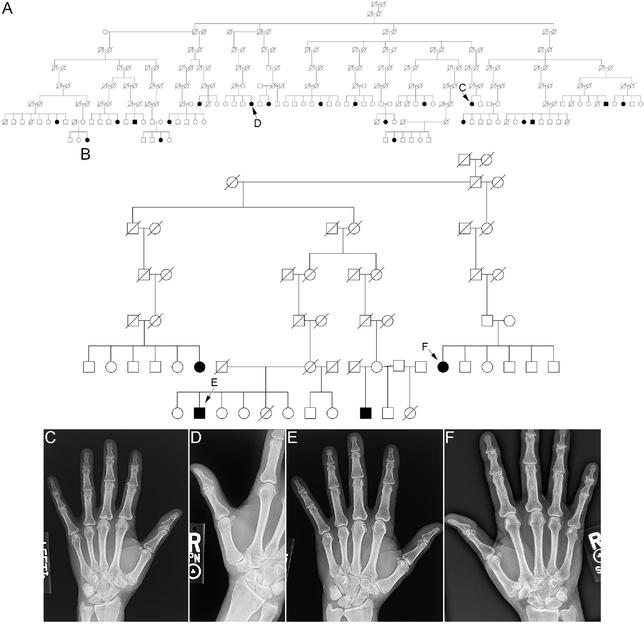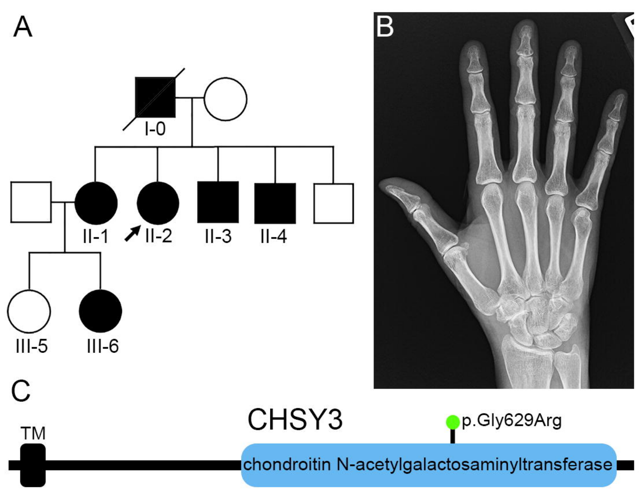



p.Gly629Arg

 $\overline{\phantom{0}}$ 

chondroitin N-acetylgalactosaminyltransferase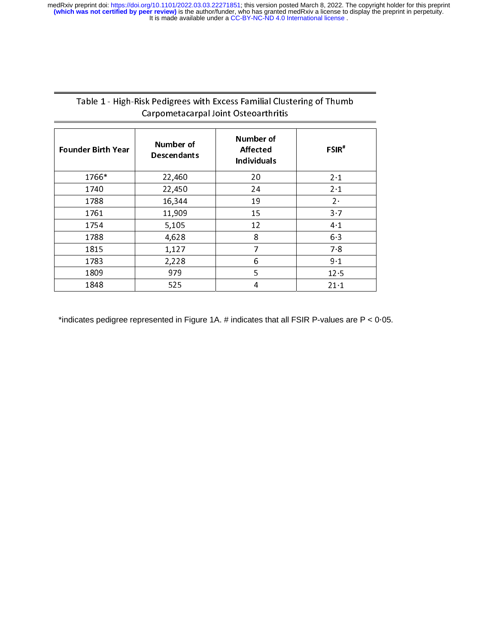# Table 1 - High-Risk Pedigrees with Excess Familial Clustering of Thumb Carpometacarpal Joint Osteoarthritis

| <b>Founder Birth Year</b> | Number of<br><b>Descendants</b> | Number of<br><b>Affected</b><br><b>Individuals</b> | $FSIR*$  |
|---------------------------|---------------------------------|----------------------------------------------------|----------|
| 1766*                     | 22,460                          | 20                                                 | $2 - 1$  |
| 1740                      | 22,450                          | 24                                                 | $2 - 1$  |
| 1788                      | 16,344                          | 19                                                 | $2 -$    |
| 1761                      | 11,909                          | 15                                                 | $3 - 7$  |
| 1754                      | 5,105                           | 12                                                 | $4 - 1$  |
| 1788                      | 4,628                           | 8                                                  | $6 - 3$  |
| 1815                      | 1,127                           | 7                                                  | $7 - 8$  |
| 1783                      | 2,228                           | 6                                                  | $9 - 1$  |
| 1809                      | 979                             | 5                                                  | $12 - 5$ |
| 1848                      | 525                             | 4                                                  | $21 - 1$ |

\*indicates pedigree represented in Figure 1A. # indicates that all FSIR P-values are P < 0·05.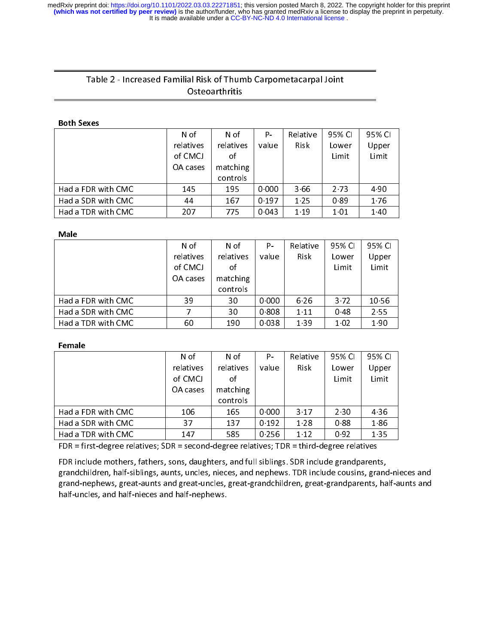# Table 2 - Increased Familial Risk of Thumb Carpometacarpal Joint **Osteoarthritis**

#### Both Sexes

|                    | N of      | N of      | Р.      | Relative    | 95% CL | 95% CI |
|--------------------|-----------|-----------|---------|-------------|--------|--------|
|                    | relatives | relatives | value   | <b>Risk</b> | Lower  | Upper  |
|                    | of CMCJ   | of        |         |             | Limit  | Limit  |
|                    | OA cases  | matching  |         |             |        |        |
|                    |           | controls  |         |             |        |        |
| Had a FDR with CMC | 145       | 195       | 0.000   | 3.66        | 2.73   | 4.90   |
| Had a SDR with CMC | 44        | 167       | 0 1 9 7 | 1 2 5       | 0.89   | 176    |
| Had a TDR with CMC | 207       | 775       | 0 0 4 3 | 1.19        | 1 0 1  | 1.40   |
|                    |           |           |         |             |        |        |

#### **Male**

|                    | N of      | N of      | Р.    | Relative    | 95% CL | 95% CI |
|--------------------|-----------|-----------|-------|-------------|--------|--------|
|                    | relatives | relatives | value | <b>Risk</b> | Lower  | Upper  |
|                    | of CMCJ   | οf        |       |             | Limit  | Limit  |
|                    | OA cases  | matching  |       |             |        |        |
|                    |           | controls  |       |             |        |        |
| Had a FDR with CMC | 39        | 30        | 0.000 | 6.26        | 3.72   | 1056   |
| Had a SDR with CMC |           | 30        | 0.808 | 1.11        | 048    | 2.55   |
| Had a TDR with CMC | 60        | 190       | 0.038 | 1 3 9       | 1.02   | 1.90   |
|                    |           |           |       |             |        |        |

#### Female

|                     | N of                 | N of      | Р.      | Relative    | 95% CI   | 95% CI |
|---------------------|----------------------|-----------|---------|-------------|----------|--------|
|                     | relatives            | relatives | value   | <b>Risk</b> | Lower    | Upper  |
|                     | of CMCJ              | οf        |         |             | Limit    | Limit  |
|                     | OA cases             | matching  |         |             |          |        |
|                     |                      | controls  |         |             |          |        |
| Had a FDR with CMC  | 106                  | 165       | 0.000   | 3.17        | 2.30     | 4 3 6  |
| Had a SDR with CMC  | 37                   | 137       | 0 1 9 2 | 1 2 8       | 088      | 186    |
| Had a TDR with CMC  | 147                  | 585       | 0.256   | 1.12        | 0.92     | 1 3 5  |
| $\blacksquare$<br>. | $\sim$ $\sim$ $\sim$ | . .<br>.  |         | <b>TRA</b>  | $\cdots$ |        |

FDR = first-degree relatives; SDR = second-degree relatives; TDR = third-degree relatives

FDR include mothers, fathers, sons, daughters, and full siblings. SDR include grandparents,<br>grandchildren, half-siblings, aunts, uncles, nieces, and nephews. TDR include cousins, grand-nieces and grandchildren, half-sibilings, aunts, uncles, nieces, and nephews. TDR include cousins, grand-nieces and<br>Execute and students and students and speck the less speck speculabilities, where we also parts helf students grand-nephews, great-aunts and great-uncles, great-grandchildren, great-grandparents, half-aunts and half-uncles, and half-nieces and half-nephews.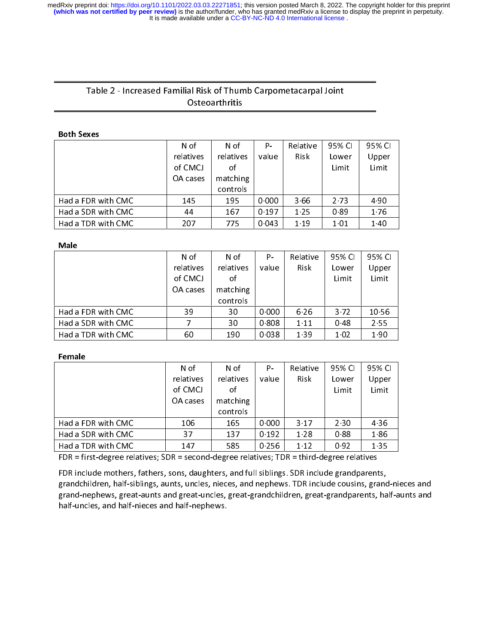# Table 2 - Increased Familial Risk of Thumb Carpometacarpal Joint **Osteoarthritis**

|                    | N of      | N of      | Р.    | Relative    | 95% CL | 95% CI |
|--------------------|-----------|-----------|-------|-------------|--------|--------|
|                    | relatives | relatives | value | <b>Risk</b> | Lower  | Upper  |
|                    | of CMCJ   | of        |       |             | Limit  | Limit  |
|                    | OA cases  | matching  |       |             |        |        |
|                    |           | controls  |       |             |        |        |
| Had a FDR with CMC | 145       | 195       | 0.000 | 3.66        | 2.73   | 4.90   |
| Had a SDR with CMC | 44        | 167       | 0.197 | 1.25        | 0.89   | 1.76   |
| Had a TDR with CMC | 207       | 775       | 0.043 | 1 1 9       | 1 0 1  | 1.40   |

# $\overline{a}$

|                    | N of      | N of      | Р.    | Relative    | 95% CI | 95% CI |
|--------------------|-----------|-----------|-------|-------------|--------|--------|
|                    | relatives | relatives | value | <b>Risk</b> | Lower  | Upper  |
|                    | of CMCJ   | οf        |       |             | Limit  | Limit  |
|                    | OA cases  | matching  |       |             |        |        |
|                    |           | controls  |       |             |        |        |
| Had a FDR with CMC | 39        | 30        | 0.000 | 6.26        | 3.72   | 1056   |
| Had a SDR with CMC |           | 30        | 0.808 | 1.11        | 048    | 2.55   |
| Had a TDR with CMC | 60        | 190       | 0.038 | 1.39        | 1 0 2  | 1.90   |
|                    |           |           |       |             |        |        |

#### Female

|                                | N of                 | N of                          | Р.      | Relative          | 95% CI | 95% CI |
|--------------------------------|----------------------|-------------------------------|---------|-------------------|--------|--------|
|                                | relatives            | relatives                     | value   | Risk              | Lower  | Upper  |
|                                | of CMCJ              | οf                            |         |                   | Limit  | Limit  |
|                                | OA cases             | matching                      |         |                   |        |        |
|                                |                      | controls                      |         |                   |        |        |
| Had a FDR with CMC             | 106                  | 165                           | 0.000   | 3.17              | 2.30   | 4 3 6  |
| Had a SDR with CMC             | 37                   | 137                           | 0.192   | 1 2 8             | 088    | 186    |
| Had a TDR with CMC             | 147                  | 585                           | 0 2 5 6 | 1.12              | 0.92   | 1.35   |
| $\blacksquare$<br>$\mathbf{r}$ | $\sim$ $\sim$ $\sim$ | $\mathbf{r}$ and $\mathbf{r}$ |         | <b>TOD JULIUS</b> | .      |        |

FDR = first-degree relatives; SDR = second-degree relatives; TDR = third-degree relatives

FDR include mothers, fathers, sons, daughters, and full siblings. SDR include grandparents,<br>grandchildren, half-siblings, aunts, uncles, nieces, and nephews. TDR include cousins, grand-nieces and grandchildren, half-siblings, aunts, uncles, nieces, and nephews. TDR include cousins, grand-nieces and grand-nephews, great-aunts and great-uncles, great-grandchildren, great-grandparents, half-aunts and half-uncles, and half-nieces and half-nephews.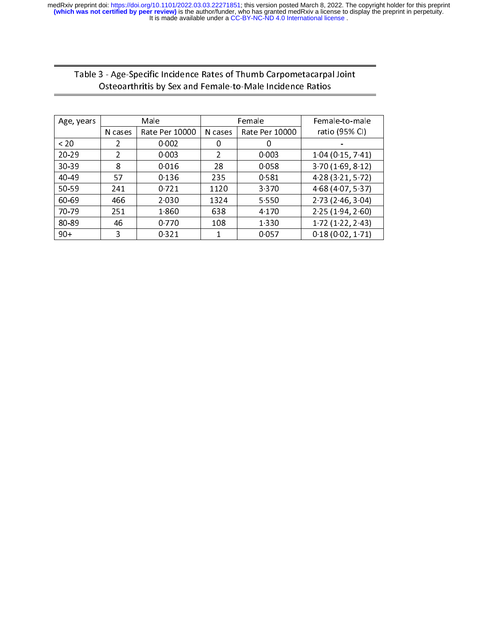| Osteoarthritis by Sex and Female-to-Male Incidence Ratios | Table 3 - Age-Specific Incidence Rates of Thumb Carpometacarpal Joint |  |
|-----------------------------------------------------------|-----------------------------------------------------------------------|--|
|                                                           |                                                                       |  |

| Age, years | Male           |                |         | Female         | Female-to-male       |
|------------|----------------|----------------|---------|----------------|----------------------|
|            | N cases        | Rate Per 10000 | N cases | Rate Per 10000 | ratio (95% CI)       |
| < 20       | 2              | 0.002          | 0       | 0              |                      |
| 20.29      | $\mathfrak{p}$ | 0.003          | 2       | 0.003          | 1 04 (0 15, 7 41)    |
| 30.39      | 8              | 0 0 1 6        | 28      | 0058           | 3 70 (1 69, 8 12)    |
| $40 - 49$  | 57             | 0 1 3 6        | 235     | 0581           | 4 28 (3 21, 5 72)    |
| 50-59      | 241            | 0.721          | 1120    | 3 3 7 0        | 4 68 (4 07, 5 37)    |
| 60-69      | 466            | 2 0 3 0        | 1324    | 5.550          | 2 73 (2 46, 3 04)    |
| 70 79      | 251            | 1860           | 638     | 4 1 7 0        | 2 2 5 (1 9 4, 2 6 0) |
| 80-89      | 46             | 0 7 7 0        | 108     | 1 3 3 0        | 1 72 (1 22, 2 43)    |
| $90+$      | 3              | 0 3 2 1        |         | 0 0 5 7        | 0.18(0.02, 1.71)     |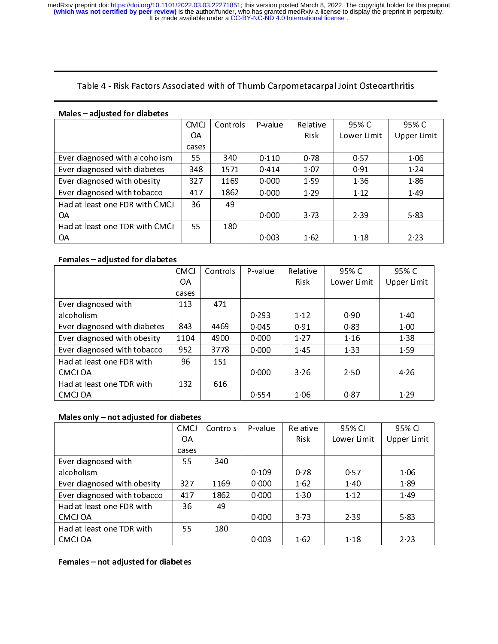# Table 4 - Risk Factors Associated with of Thumb Carpometacarpal Joint Osteoarthritis

#### Males – adjusted for diabetes

|                                | <b>CMCJ</b> | Controls | P-value | Relative | 95% CI      | 95% CI      |
|--------------------------------|-------------|----------|---------|----------|-------------|-------------|
|                                | OA          |          |         | Risk     | Lower Limit | Upper Limit |
|                                | cases       |          |         |          |             |             |
| Ever diagnosed with alcoholism | 55          | 340      | 0.110   | 0.78     | 0.57        | 1 06        |
| Ever diagnosed with diabetes   | 348         | 1571     | 0414    | 1.07     | 0.91        | 1.24        |
| Ever diagnosed with obesity    | 327         | 1169     | 0.000   | 1 5 9    | 1 3 6       | 186         |
| Ever diagnosed with tobacco    | 417         | 1862     | 0.000   | 1.29     | 1.12        | 149         |
| Had at least one FDR with CMCJ | 36          | 49       |         |          |             |             |
| ΟA                             |             |          | 0.000   | 373      | 2.39        | 583         |
| Had at least one TDR with CMCJ | 55          | 180      |         |          |             |             |
| 0A                             |             |          | 0.003   | 162      | 1 1 8       | 2 2 3       |

# $\overline{a}$

| .<br>aujusteu Toi ulubetes   |             |          |         |             |             |             |
|------------------------------|-------------|----------|---------|-------------|-------------|-------------|
|                              | <b>CMCJ</b> | Controls | P-value | Relative    | 95% CI      | 95% CI      |
|                              | ΟA          |          |         | <b>Risk</b> | Lower Limit | Upper Limit |
|                              | cases       |          |         |             |             |             |
| Ever diagnosed with          | 113         | 471      |         |             |             |             |
| alcoholism                   |             |          | 0.293   | 1 1 2       | 0.90        | 1 4 0       |
| Ever diagnosed with diabetes | 843         | 4469     | 0 0 4 5 | 0.91        | 0.83        | 100         |
| Ever diagnosed with obesity  | 1104        | 4900     | 0.000   | 1.27        | 1.16        | 1 3 8       |
| Ever diagnosed with tobacco  | 952         | 3778     | 0.000   | 145         | 1 3 3       | 1.59        |
| Had at least one FDR with    | 96          | 151      |         |             |             |             |
| CMCJ OA                      |             |          | 0.000   | 3 2 6       | 2.50        | 4 2 6       |
| Had at least one TDR with    | 132         | 616      |         |             |             |             |
| CMCJ OA                      |             |          | 0.554   | 1 0 6       | 0.87        | 1 2 9       |
|                              |             |          |         |             |             |             |

# ֦

| IVIUICJ UIIIV<br><b>TIOL dufusted TOI diabetes</b> |             |          |         |             |             |             |
|----------------------------------------------------|-------------|----------|---------|-------------|-------------|-------------|
|                                                    | <b>CMCJ</b> | Controls | P-value | Relative    | 95% CI      | 95% CI      |
|                                                    | OA          |          |         | <b>Risk</b> | Lower Limit | Upper Limit |
|                                                    | cases       |          |         |             |             |             |
| Ever diagnosed with                                | 55.         | 340      |         |             |             |             |
| alcoholism                                         |             |          | 0.109   | 0 78        | 0.57        | 1 0 6       |
| Ever diagnosed with obesity                        | 327         | 1169     | 0.000   | 162         | 1.40        | 189         |
| Ever diagnosed with tobacco                        | 417         | 1862     | 0.000   | 1 3 0       | 1 1 2       | 149         |
| Had at least one FDR with                          | 36          | 49       |         |             |             |             |
| CMCJ OA                                            |             |          | 0.000   | 373         | 2.39        | 583         |
| Had at least one TDR with                          | 55          | 180      |         |             |             |             |
| CMCJ OA                                            |             |          | 0.003   | 162         | 1 1 8       | 2.23        |
|                                                    |             |          |         |             |             |             |

֦ Females – not adjusted for diabetes